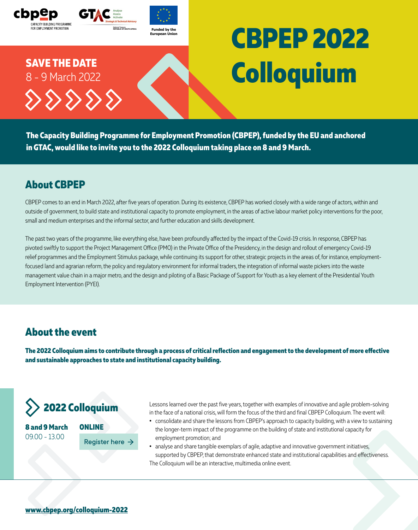

**The Capacity Building Programme for Employment Promotion (CBPEP), funded by the EU and anchored in GTAC, would like to invite you to the 2022 Colloquium taking place on 8 and 9 March.**

### **About CBPEP**

CBPEP comes to an end in March 2022, after five years of operation. During its existence, CBPEP has worked closely with a wide range of actors, within and outside of government, to build state and institutional capacity to promote employment, in the areas of active labour market policy interventions for the poor, small and medium enterprises and the informal sector, and further education and skills development.

The past two years of the programme, like everything else, have been profoundly affected by the impact of the Covid-19 crisis. In response, CBPEP has pivoted swiftly to support the Project Management Office (PMO) in the Private Office of the Presidency, in the design and rollout of emergency Covid-19 relief programmes and the Employment Stimulus package, while continuing its support for other, strategic projects in the areas of, for instance, employmentfocused land and agrarian reform, the policy and regulatory environment for informal traders, the integration of informal waste pickers into the waste management value chain in a major metro, and the design and piloting of a Basic Package of Support for Youth as a key element of the Presidential Youth Employment Intervention (PYEI).

#### **About the event**

**The 2022 Colloquium aims to contribute through a process of critical reflection and engagement to the development of more effective and sustainable approaches to state and institutional capacity building.**



**8 and 9 March**  09.00 - 13.00



Lessons learned over the past five years, together with examples of innovative and agile problem-solving in the face of a national crisis, will form the focus of the third and final CBPEP Colloquium. The event will:

- **•** consolidate and share the lessons from CBPEP's approach to capacity building, with a view to sustaining the longer-term impact of the programme on the building of state and institutional capacity for employment promotion; and
- **•** analyse and share tangible exemplars of agile, adaptive and innovative government initiatives, supported by CBPEP, that demonstrate enhanced state and institutional capabilities and effectiveness. The Colloquium will be an interactive, multimedia online event.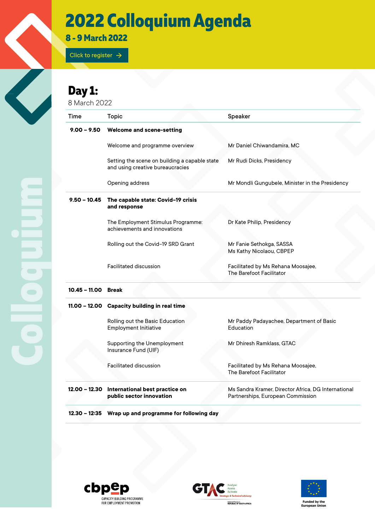## **2022 Colloquium Agenda**

**8 - 9 March 2022** 

[Click to register](https://us02web.zoom.us/meeting/register/tZItceGppz0iHNBAn15EdyG6Vw4TPhrVBEJx)  $\rightarrow$ 

### **Day 1:**

8 March 2022

| Time                | <b>Topic</b>                                                                      | Speaker                                                                                  |
|---------------------|-----------------------------------------------------------------------------------|------------------------------------------------------------------------------------------|
| $9.00 - 9.50$       | <b>Welcome and scene-setting</b>                                                  |                                                                                          |
|                     | Welcome and programme overview                                                    | Mr Daniel Chiwandamira, MC                                                               |
|                     | Setting the scene on building a capable state<br>and using creative bureaucracies | Mr Rudi Dicks, Presidency                                                                |
|                     | Opening address                                                                   | Mr Mondli Gungubele, Minister in the Presidency                                          |
| $9.50 - 10.45$      | The capable state: Covid-19 crisis<br>and response                                |                                                                                          |
|                     | The Employment Stimulus Programme:<br>achievements and innovations                | Dr Kate Philip, Presidency                                                               |
|                     | Rolling out the Covid-19 SRD Grant                                                | Mr Fanie Sethokga, SASSA<br>Ms Kathy Nicolaou, CBPEP                                     |
|                     | <b>Facilitated discussion</b>                                                     | Facilitated by Ms Rehana Moosajee,<br>The Barefoot Facilitator                           |
| 10.45 - 11.00 Break |                                                                                   |                                                                                          |
|                     | 11.00 - 12.00 Capacity building in real time                                      |                                                                                          |
|                     | Rolling out the Basic Education<br><b>Employment Initiative</b>                   | Mr Paddy Padayachee, Department of Basic<br>Education                                    |
|                     | <b>Supporting the Unemployment</b><br>Insurance Fund (UIF)                        | Mr Dhiresh Ramklass, GTAC                                                                |
|                     | <b>Facilitated discussion</b>                                                     | Facilitated by Ms Rehana Moosajee,<br>The Barefoot Facilitator                           |
|                     | 12.00 - 12.30 International best practice on<br>public sector innovation          | Ms Sandra Kramer, Director Africa, DG International<br>Partnerships, European Commission |
|                     | 12.30 - 12:35 Wrap up and programme for following day                             |                                                                                          |







**Funded by the European Union**